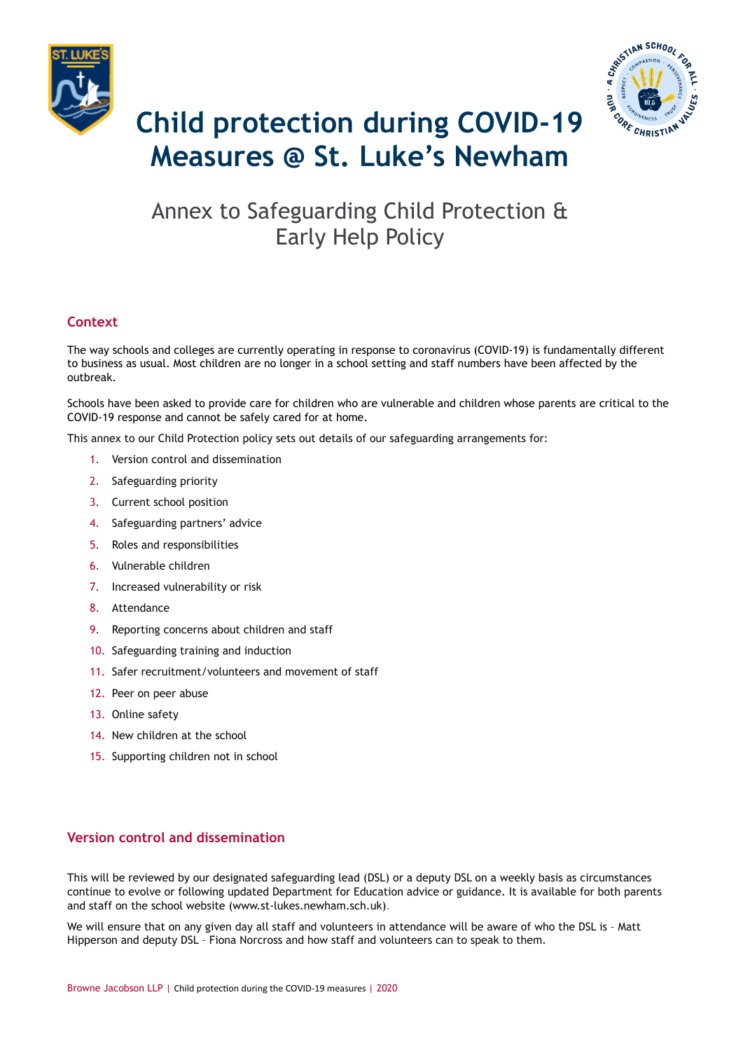



# **Child protection during COVID-19 Measures @ St. Luke's Newham**

# Annex to Safeguarding Child Protection & Early Help Policy

# **Context**

The way schools and colleges are currently operating in response to coronavirus (COVID-19) is fundamentally different to business as usual. Most children are no longer in a school setting and staff numbers have been affected by the outbreak.

Schools have been asked to provide care for children who are vulnerable and children whose parents are critical to the COVID-19 response and cannot be safely cared for at home.

This annex to our Child Protection policy sets out details of our safeguarding arrangements for:

- 1. Version control and dissemination
- 2. Safeguarding priority
- 3. Current school position
- 4. Safeguarding partners' advice
- 5. Roles and responsibilities
- 6. Vulnerable children
- 7. Increased vulnerability or risk
- 8. Attendance
- 9. Reporting concerns about children and staff
- 10. Safeguarding training and induction
- 11. Safer recruitment/volunteers and movement of staff
- 12. Peer on peer abuse
- 13. Online safety
- 14. New children at the school
- 15. Supporting children not in school

# **Version control and dissemination**

This will be reviewed by our designated safeguarding lead (DSL) or a deputy DSL on a weekly basis as circumstances continue to evolve or following updated Department for Education advice or guidance. It is available for both parents and staff on the school website (www.st-lukes.newham.sch.uk).

We will ensure that on any given day all staff and volunteers in attendance will be aware of who the DSL is - Matt Hipperson and deputy DSL – Fiona Norcross and how staff and volunteers can to speak to them.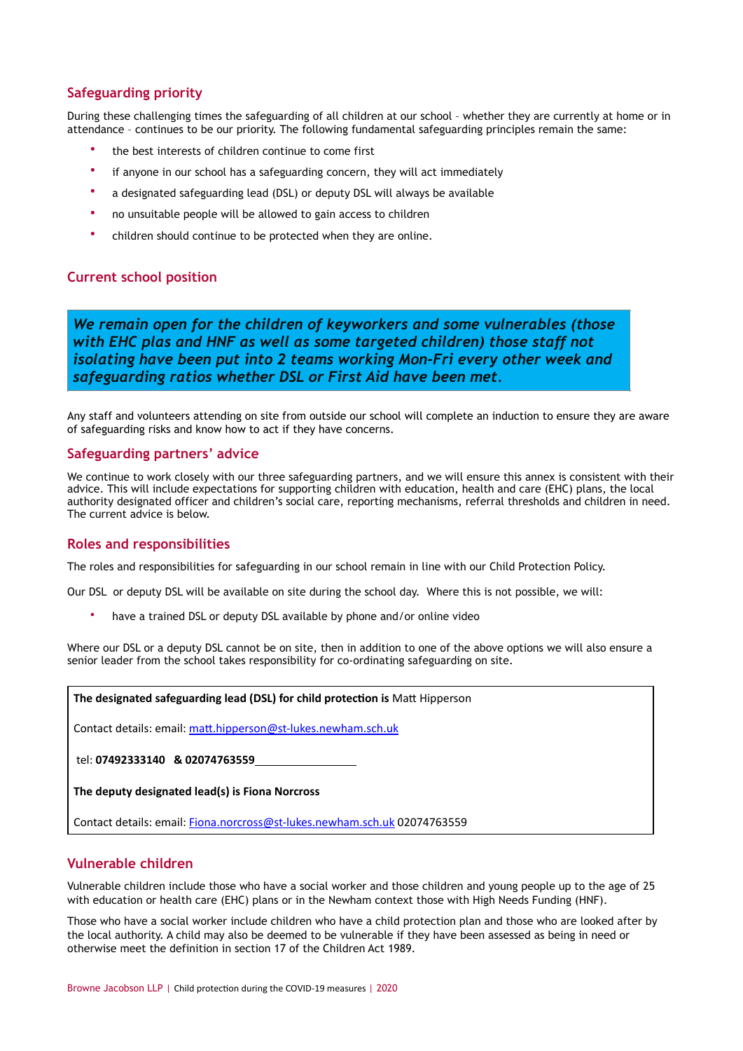# **Safeguarding priority**

During these challenging times the safeguarding of all children at our school – whether they are currently at home or in attendance – continues to be our priority. The following fundamental safeguarding principles remain the same:

- the best interests of children continue to come first
- if anyone in our school has a safeguarding concern, they will act immediately
- a designated safeguarding lead (DSL) or deputy DSL will always be available
- no unsuitable people will be allowed to gain access to children
- children should continue to be protected when they are online.

# **Current school position**

*We remain open for the children of keyworkers and some vulnerables (those with EHC plas and HNF as well as some targeted children) those staff not isolating have been put into 2 teams working Mon-Fri every other week and safeguarding ratios whether DSL or First Aid have been met.*

Any staff and volunteers attending on site from outside our school will complete an induction to ensure they are aware of safeguarding risks and know how to act if they have concerns.

#### **Safeguarding partners' advice**

We continue to work closely with our three safeguarding partners, and we will ensure this annex is consistent with their advice. This will include expectations for supporting children with education, health and care (EHC) plans, the local authority designated officer and children's social care, reporting mechanisms, referral thresholds and children in need. The current advice is below.

#### **Roles and responsibilities**

The roles and responsibilities for safeguarding in our school remain in line with our Child Protection Policy.

Our DSL or deputy DSL will be available on site during the school day. Where this is not possible, we will:

have a trained DSL or deputy DSL available by phone and/or online video

Where our DSL or a deputy DSL cannot be on site, then in addition to one of the above options we will also ensure a senior leader from the school takes responsibility for co-ordinating safeguarding on site.

#### **The designated safeguarding lead (DSL) for child protection is Matt Hipperson**

Contact details: email: matt.hipperson@st-lukes.newham.sch.uk

#### tel: **07492333140 & 02074763559**

**The deputy designated lead(s) is Fiona Norcross**

Contact details: email: [Fiona.norcross@st-lukes.newham.sch.uk](mailto:Fiona.norcross@st-lukes.newham.sch.uk) 02074763559

# **Vulnerable children**

Vulnerable children include those who have a social worker and those children and young people up to the age of 25 with education or health care (EHC) plans or in the Newham context those with High Needs Funding (HNF).

Those who have a social worker include children who have a child protection plan and those who are looked after by the local authority. A child may also be deemed to be vulnerable if they have been assessed as being in need or otherwise meet the definition in section 17 of the Children Act 1989.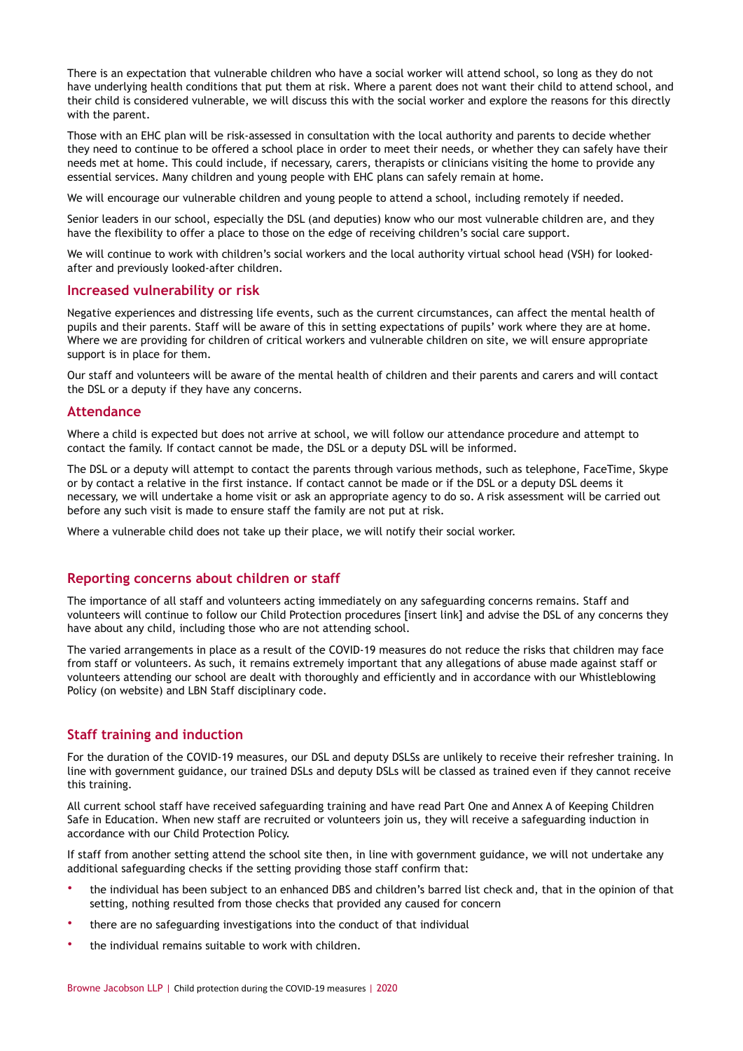There is an expectation that vulnerable children who have a social worker will attend school, so long as they do not have underlying health conditions that put them at risk. Where a parent does not want their child to attend school, and their child is considered vulnerable, we will discuss this with the social worker and explore the reasons for this directly with the parent.

Those with an EHC plan will be risk-assessed in consultation with the local authority and parents to decide whether they need to continue to be offered a school place in order to meet their needs, or whether they can safely have their needs met at home. This could include, if necessary, carers, therapists or clinicians visiting the home to provide any essential services. Many children and young people with EHC plans can safely remain at home.

We will encourage our vulnerable children and young people to attend a school, including remotely if needed.

Senior leaders in our school, especially the DSL (and deputies) know who our most vulnerable children are, and they have the flexibility to offer a place to those on the edge of receiving children's social care support.

We will continue to work with children's social workers and the local authority virtual school head (VSH) for lookedafter and previously looked-after children.

#### **Increased vulnerability or risk**

Negative experiences and distressing life events, such as the current circumstances, can affect the mental health of pupils and their parents. Staff will be aware of this in setting expectations of pupils' work where they are at home. Where we are providing for children of critical workers and vulnerable children on site, we will ensure appropriate support is in place for them.

Our staff and volunteers will be aware of the mental health of [children](https://safeguarding.network/safeguarding-resources/specific-risks-children-additional-needs/mental-health/) and their [parents and carers](https://safeguarding.network/safeguarding-resources/parental-issues/parental-mental-ill-health/) and will contact the DSL or a deputy if they have any concerns.

#### **Attendance**

Where a child is expected but does not arrive at school, we will follow our attendance procedure and attempt to contact the family. If contact cannot be made, the DSL or a deputy DSL will be informed.

The DSL or a deputy will attempt to contact the parents through various methods, such as telephone, FaceTime, Skype or by contact a relative in the first instance. If contact cannot be made or if the DSL or a deputy DSL deems it necessary, we will undertake a home visit or ask an appropriate agency to do so. A risk assessment will be carried out before any such visit is made to ensure staff the family are not put at risk.

Where a vulnerable child does not take up their place, we will notify their social worker.

#### **Reporting concerns about children or staff**

The importance of all staff and volunteers acting immediately on any safeguarding concerns remains. Staff and volunteers will continue to follow our Child Protection procedures [insert link] and advise the DSL of any concerns they have about any child, including those who are not attending school.

The varied arrangements in place as a result of the COVID-19 measures do not reduce the risks that children may face from staff or volunteers. As such, it remains extremely important that any allegations of abuse made against staff or volunteers attending our school are dealt with thoroughly and efficiently and in accordance with our Whistleblowing Policy (on website) and LBN Staff disciplinary code.

## **Staff training and induction**

For the duration of the COVID-19 measures, our DSL and deputy DSLSs are unlikely to receive their refresher training. In line with government guidance, our trained DSLs and deputy DSLs will be classed as trained even if they cannot receive this training.

All current school staff have received safeguarding training and have read Part One and Annex A of Keeping Children Safe in Education. When new staff are recruited or volunteers join us, they will receive a safeguarding induction in accordance with our Child Protection Policy.

If staff from another setting attend the school site then, in line with government guidance, we will not undertake any additional safeguarding checks if the setting providing those staff confirm that:

- the individual has been subject to an enhanced DBS and children's barred list check and, that in the opinion of that setting, nothing resulted from those checks that provided any caused for concern
- there are no safeguarding investigations into the conduct of that individual
- the individual remains suitable to work with children.